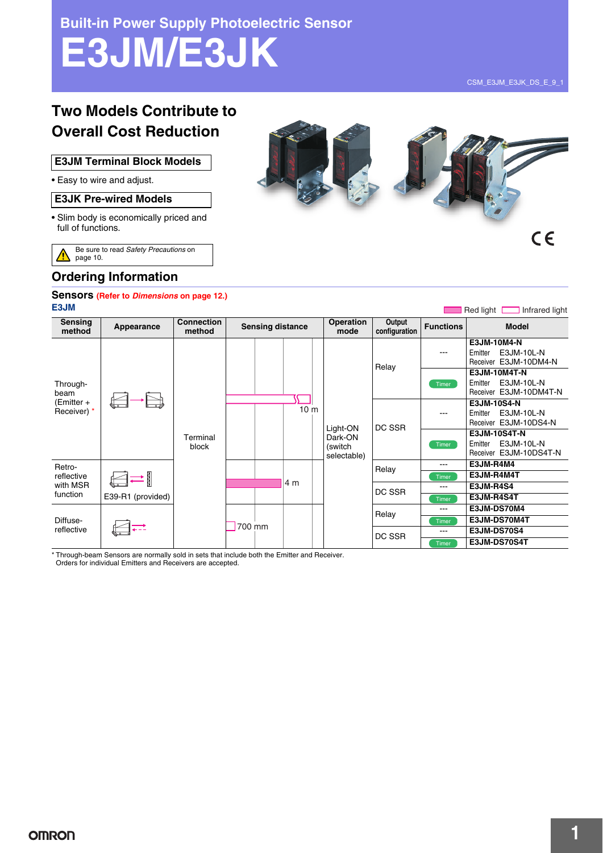**Built-in Power Supply Photoelectric Sensor**

# **E3JM/E3JK**

Red light Infrared light

# **Two Models Contribute to Overall Cost Reduction**

#### **E3JM Terminal Block Models**

• Easy to wire and adjust.

#### **E3JK Pre-wired Models**

• Slim body is economically priced and full of functions.

Be sure to read *Safety Precautions* on ⚠ page 10.



## **Ordering Information**

#### **Sensors (Refer to** *Dimensions* **on page 12.) E3JM**

| <b>Sensing</b><br>method                      | Appearance                       | <b>Connection</b><br>method |        | <b>Sensing distance</b> |                 |  | <b>Operation</b><br>mode                      | Output<br>configuration | <b>Functions</b> | <b>Model</b>                                                           |
|-----------------------------------------------|----------------------------------|-----------------------------|--------|-------------------------|-----------------|--|-----------------------------------------------|-------------------------|------------------|------------------------------------------------------------------------|
|                                               |                                  |                             |        |                         |                 |  |                                               | Relay                   | ---              | E3JM-10M4-N<br>E3JM-10L-N<br>Emitter<br>Receiver E3JM-10DM4-N          |
| Through-<br>beam<br>(Emitter +<br>Receiver) * |                                  |                             |        |                         |                 |  |                                               |                         | Timer            | <b>E3JM-10M4T-N</b><br>E3JM-10L-N<br>Emitter<br>Receiver E3JM-10DM4T-N |
|                                               | $\rightleftharpoons$<br>with MSR | Terminal<br>block           |        |                         | 10 <sub>m</sub> |  | Light-ON<br>Dark-ON<br>(switch<br>selectable) | DC SSR                  | ---              | E3JM-10S4-N<br>E3JM-10L-N<br>Emitter<br>Receiver E3JM-10DS4-N          |
|                                               |                                  |                             |        |                         |                 |  |                                               |                         | Timer            | <b>E3JM-10S4T-N</b><br>E3JM-10L-N<br>Emitter<br>Receiver E3JM-10DS4T-N |
| Retro-                                        |                                  |                             |        |                         |                 |  |                                               | Relay                   | $---$            | E3JM-R4M4                                                              |
| reflective                                    |                                  |                             |        | 14 m                    |                 |  |                                               | Timer                   | E3JM-R4M4T       |                                                                        |
|                                               |                                  |                             |        |                         |                 |  | DC SSR                                        | $---$                   | <b>E3JM-R4S4</b> |                                                                        |
| function                                      | E39-R1 (provided)                |                             |        |                         |                 |  |                                               |                         | Timer            | E3JM-R4S4T                                                             |
| Diffuse-                                      |                                  |                             |        |                         |                 |  |                                               | Relay                   | $---$            | E3JM-DS70M4                                                            |
|                                               |                                  |                             |        |                         |                 |  |                                               |                         | Timer            | E3JM-DS70M4T                                                           |
| reflective                                    |                                  |                             | 700 mm |                         |                 |  |                                               | DC SSR                  | $---$            | <b>E3JM-DS70S4</b>                                                     |
|                                               |                                  |                             |        |                         |                 |  |                                               |                         | Timer            | E3JM-DS70S4T                                                           |

\* Through-beam Sensors are normally sold in sets that include both the Emitter and Receiver.

Orders for individual Emitters and Receivers are accepted.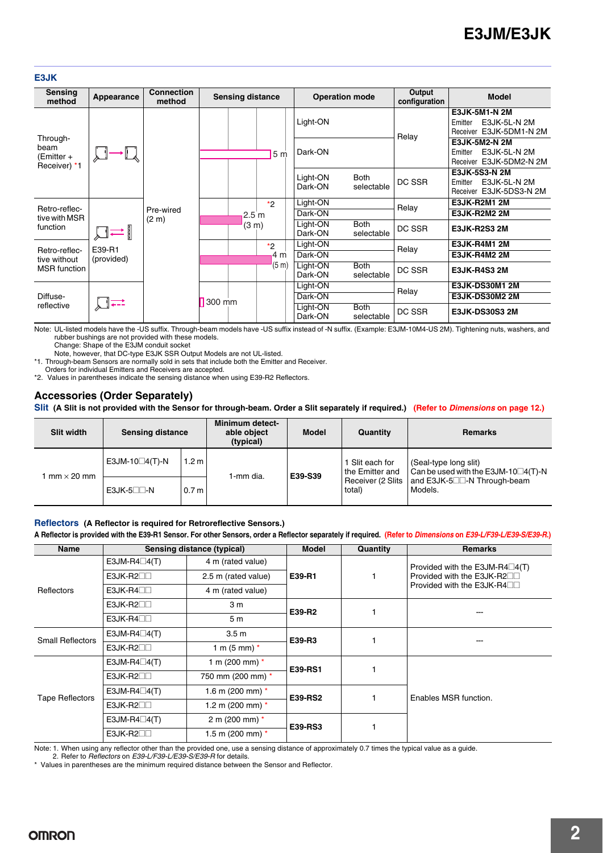#### **E3JK**

| Sensing<br>method                              | Appearance | <b>Connection</b><br>method    |        | <b>Sensing distance</b>             |                |  | <b>Operation mode</b> |                           | Output<br>configuration | <b>Model</b>                                                               |
|------------------------------------------------|------------|--------------------------------|--------|-------------------------------------|----------------|--|-----------------------|---------------------------|-------------------------|----------------------------------------------------------------------------|
|                                                |            |                                |        |                                     |                |  | Light-ON              |                           | Relay                   | E3JK-5M1-N 2M<br>E3JK-5L-N 2M<br>Emitter<br>Receiver E3JK-5DM1-N 2M        |
| Through-<br>beam<br>(Emitter +<br>Receiver) *1 |            |                                |        |                                     | 5 <sub>m</sub> |  | Dark-ON               |                           |                         | E3JK-5M2-N 2M<br>E3JK-5L-N 2M<br>Emitter<br>Receiver E3JK-5DM2-N 2M        |
|                                                |            |                                |        |                                     |                |  | Light-ON<br>Dark-ON   | <b>Both</b><br>selectable | DC SSR                  | <b>E3JK-5S3-N 2M</b><br>E3JK-5L-N 2M<br>Emitter<br>Receiver E3JK-5DS3-N 2M |
| Retro-reflec-                                  |            |                                |        |                                     | *2             |  | Light-ON              |                           | Relay                   | <b>E3JK-R2M1 2M</b>                                                        |
| tive with MSR                                  | ≕∥         | Pre-wired<br>(2 <sub>m</sub> ) |        | 2.5 <sub>m</sub><br>$(3 \text{ m})$ |                |  | Dark-ON               |                           |                         | <b>E3JK-R2M2 2M</b>                                                        |
| function                                       |            |                                |        |                                     |                |  | Light-ON<br>Dark-ON   | <b>Both</b><br>selectable | DC SSR                  | <b>E3JK-R2S3 2M</b>                                                        |
| Retro-reflec-                                  | E39-R1     |                                |        |                                     | *2             |  | Light-ON              |                           | Relay                   | <b>E3JK-R4M1 2M</b>                                                        |
| tive without<br><b>MSR</b> function            | (provided) |                                |        |                                     | 4 m            |  | Dark-ON               |                           |                         | <b>E3JK-R4M2 2M</b>                                                        |
|                                                |            |                                |        |                                     | (5 m)          |  | Light-ON<br>Dark-ON   | <b>Both</b><br>selectable | DC SSR                  | <b>E3JK-R4S3 2M</b>                                                        |
|                                                |            |                                |        |                                     |                |  | Light-ON              |                           | Relay                   | <b>E3JK-DS30M1 2M</b>                                                      |
| Diffuse-                                       |            |                                | 300 mm |                                     |                |  | Dark-ON               |                           |                         | <b>E3JK-DS30M2 2M</b>                                                      |
| reflective                                     |            |                                |        |                                     |                |  | Light-ON<br>Dark-ON   | <b>Both</b><br>selectable | DC SSR                  | <b>E3JK-DS30S3 2M</b>                                                      |

Note: UL-listed models have the -US suffix. Through-beam models have -US suffix instead of -N suffix. (Example: E3JM-10M4-US 2M). Tightening nuts, washers, and rubber bushings are not provided with these models.

Change: Shape of the E3JM conduit socket

Note, however, that DC-type E3JK SSR Output Models are not UL-listed. \*1. Through-beam Sensors are normally sold in sets that include both the Emitter and Receiver.

Orders for individual Emitters and Receivers are accepted.

\*2. Values in parentheses indicate the sensing distance when using E39-R2 Reflectors.

### **Accessories (Order Separately)**

**Slit (A Slit is not provided with the Sensor for through-beam. Order a Slit separately if required.) (Refer to** *Dimensions* **on page 12.)**

| <b>Slit width</b> | <b>Sensing distance</b> |                  | <b>Minimum detect-</b><br>able object<br>(typical) | Model<br>Quantity |                                    | <b>Remarks</b>                                                      |  |
|-------------------|-------------------------|------------------|----------------------------------------------------|-------------------|------------------------------------|---------------------------------------------------------------------|--|
| $mm \times 20$ mm | E3JM-10 $\Box$ 4(T)-N   | 1.2 <sub>m</sub> | 1-mm dia.                                          | E39-S39           | I Slit each for<br>the Emitter and | (Seal-type long slit)<br>Can be used with the E3JM-10 $\Box$ 4(T)-N |  |
|                   | $E3JK-5$ $\Box$ -N      | 0.7 <sub>m</sub> |                                                    |                   | Receiver (2 Slits<br>total)        | and E3JK-5 <sup>-</sup> N Through-beam<br>Models.                   |  |

#### **Reflectors (A Reflector is required for Retroreflective Sensors.)**

**A Reflector is provided with the E39-R1 Sensor. For other Sensors, order a Reflector separately if required. (Refer to** *Dimensions* **on** *E39-L/F39-L/E39-S/E39-R***.)**

| <b>Name</b>             |                                            | <b>Sensing distance (typical)</b> | <b>Model</b>   | Quantity | <b>Remarks</b>                           |  |
|-------------------------|--------------------------------------------|-----------------------------------|----------------|----------|------------------------------------------|--|
|                         | E3JM-R4 $\square$ 4(T)                     | 4 m (rated value)                 |                |          | Provided with the E3JM-R4 $\square$ 4(T) |  |
|                         | $E3JK-R2\square$                           | 2.5 m (rated value)               | E39-R1         |          | Provided with the E3JK-R2□□              |  |
| Reflectors              | $E3JK-R4$                                  | 4 m (rated value)                 |                |          | Provided with the E3JK-R4□□              |  |
|                         | $E3JK-R2\square$                           | 3 <sub>m</sub>                    | E39-R2         |          |                                          |  |
|                         | $E3JK-R4$                                  | 5 <sub>m</sub>                    |                |          |                                          |  |
| <b>Small Reflectors</b> | E3JM-R4 $\square$ 4(T)<br>3.5 <sub>m</sub> |                                   | E39-R3         |          |                                          |  |
|                         | $E3JK-R2$                                  | 1 m $(5 \text{ mm})$ *            |                |          |                                          |  |
|                         | E3JM-R4 $\square$ 4(T)                     | 1 m (200 mm) $*$                  | E39-RS1        |          |                                          |  |
| <b>Tape Reflectors</b>  | $E3JK-R2$                                  | 750 mm (200 mm) *                 |                |          | Enables MSR function.                    |  |
|                         | E3JM-R4 $\square$ 4(T)                     | 1.6 m (200 mm) $*$                | <b>E39-RS2</b> |          |                                          |  |
|                         | $E3JK-R2\square$                           | 1.2 m (200 mm) $*$                |                |          |                                          |  |
|                         | E3JM-R4 $\square$ 4(T)                     | 2 m (200 mm) $*$                  | E39-RS3        |          |                                          |  |
|                         | $E3JK-R2$                                  | 1.5 m (200 mm) $*$                |                |          |                                          |  |

Note: 1. When using any reflector other than the provided one, use a sensing distance of approximately 0.7 times the typical value as a guide.

2. Refer to *Reflectors* on *E39-L/F39-L/E39-S/E39-R* for details.

\* Values in parentheses are the minimum required distance between the Sensor and Reflector.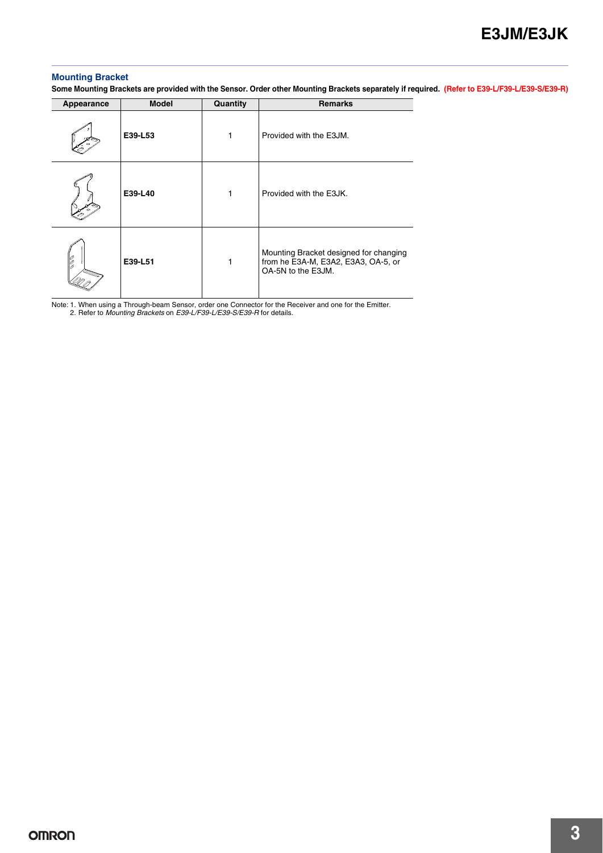#### **Mounting Bracket**

**Some Mounting Brackets are provided with the Sensor. Order other Mounting Brackets separately if required. (Refer to E39-L/F39-L/E39-S/E39-R)**

| Appearance | <b>Model</b> | Quantity | <b>Remarks</b>                                                                                      |
|------------|--------------|----------|-----------------------------------------------------------------------------------------------------|
|            | E39-L53      | 1        | Provided with the E3JM.                                                                             |
|            | E39-L40      | 1        | Provided with the E3JK.                                                                             |
| D          | E39-L51      | 1        | Mounting Bracket designed for changing<br>from he E3A-M, E3A2, E3A3, OA-5, or<br>OA-5N to the E3JM. |

Note: 1. When using a Through-beam Sensor, order one Connector for the Receiver and one for the Emitter. 2. Refer to *Mounting Brackets* on *E39-L/F39-L/E39-S/E39-R* for details.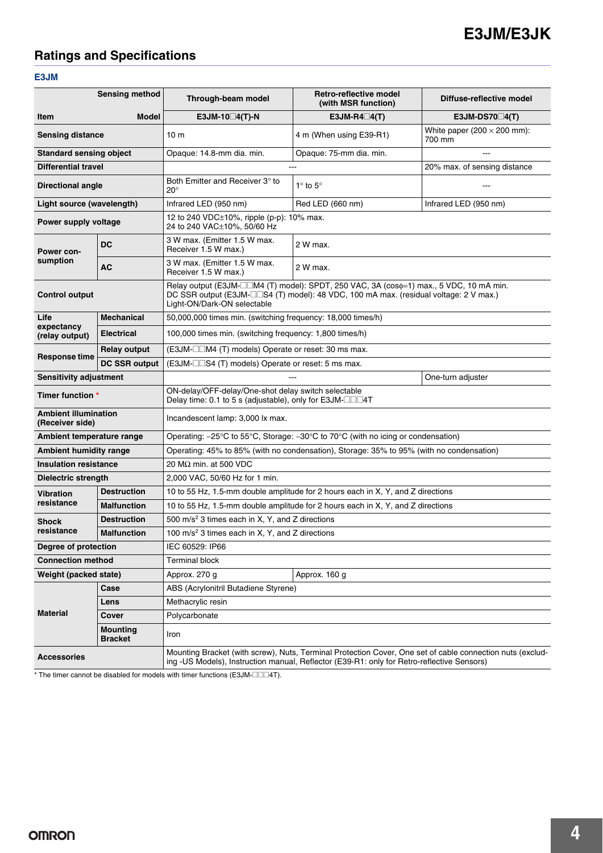# **Ratings and Specifications**

#### **E3JM**

|                                                | <b>Sensing method</b>             | Through-beam model                                                                                                                                                                                      | Retro-reflective model<br>(with MSR function)                                                                                                                                                | Diffuse-reflective model                     |  |  |  |
|------------------------------------------------|-----------------------------------|---------------------------------------------------------------------------------------------------------------------------------------------------------------------------------------------------------|----------------------------------------------------------------------------------------------------------------------------------------------------------------------------------------------|----------------------------------------------|--|--|--|
| <b>Item</b>                                    | Model                             | E3JM-10 $\Box$ 4(T)-N                                                                                                                                                                                   | $E3JM-R4\Box4(T)$                                                                                                                                                                            | E3JM-DS70 $\Box$ 4(T)                        |  |  |  |
| <b>Sensing distance</b>                        |                                   | 10 <sub>m</sub>                                                                                                                                                                                         | 4 m (When using E39-R1)                                                                                                                                                                      | White paper (200 $\times$ 200 mm):<br>700 mm |  |  |  |
| <b>Standard sensing object</b>                 |                                   | Opaque: 14.8-mm dia. min.                                                                                                                                                                               | Opaque: 75-mm dia. min.                                                                                                                                                                      |                                              |  |  |  |
| <b>Differential travel</b>                     |                                   |                                                                                                                                                                                                         |                                                                                                                                                                                              | 20% max. of sensing distance                 |  |  |  |
| <b>Directional angle</b>                       |                                   | Both Emitter and Receiver 3° to<br>$20^{\circ}$                                                                                                                                                         | $1^\circ$ to $5^\circ$                                                                                                                                                                       |                                              |  |  |  |
| Light source (wavelength)                      |                                   | Infrared LED (950 nm)                                                                                                                                                                                   | Red LED (660 nm)                                                                                                                                                                             | Infrared LED (950 nm)                        |  |  |  |
| Power supply voltage                           |                                   | 12 to 240 VDC±10%, ripple (p-p): 10% max.<br>24 to 240 VAC±10%, 50/60 Hz                                                                                                                                |                                                                                                                                                                                              |                                              |  |  |  |
| Power con-                                     | <b>DC</b>                         | 3 W max. (Emitter 1.5 W max.<br>Receiver 1.5 W max.)                                                                                                                                                    | 2 W max.                                                                                                                                                                                     |                                              |  |  |  |
| sumption                                       | АC                                | 3 W max. (Emitter 1.5 W max.<br>Receiver 1.5 W max.)                                                                                                                                                    | 2 W max.                                                                                                                                                                                     |                                              |  |  |  |
| <b>Control output</b>                          |                                   | Light-ON/Dark-ON selectable                                                                                                                                                                             | Relay output (E3JM- $\Box$ M4 (T) model): SPDT, 250 VAC, 3A (cos $\phi$ =1) max., 5 VDC, 10 mA min.<br>DC SSR output (E3JM-□□S4 (T) model): 48 VDC, 100 mA max. (residual voltage: 2 V max.) |                                              |  |  |  |
| Life                                           | <b>Mechanical</b>                 |                                                                                                                                                                                                         | 50,000,000 times min. (switching frequency: 18,000 times/h)                                                                                                                                  |                                              |  |  |  |
| expectancy<br>(relay output)                   | <b>Electrical</b>                 | 100,000 times min. (switching frequency: 1,800 times/h)                                                                                                                                                 |                                                                                                                                                                                              |                                              |  |  |  |
|                                                | <b>Relay output</b>               | (E3JM-□□M4 (T) models) Operate or reset: 30 ms max.                                                                                                                                                     |                                                                                                                                                                                              |                                              |  |  |  |
| <b>Response time</b>                           | <b>DC SSR output</b>              | (E3JM-□□S4 (T) models) Operate or reset: 5 ms max.                                                                                                                                                      |                                                                                                                                                                                              |                                              |  |  |  |
| Sensitivity adjustment                         |                                   |                                                                                                                                                                                                         | ---                                                                                                                                                                                          | One-turn adjuster                            |  |  |  |
| Timer function *                               |                                   | ON-delay/OFF-delay/One-shot delay switch selectable<br>Delay time: 0.1 to 5 s (adjustable), only for E3JM-□□□4T                                                                                         |                                                                                                                                                                                              |                                              |  |  |  |
| <b>Ambient illumination</b><br>(Receiver side) |                                   | Incandescent lamp: 3,000 lx max.                                                                                                                                                                        |                                                                                                                                                                                              |                                              |  |  |  |
| Ambient temperature range                      |                                   | Operating: -25°C to 55°C, Storage: -30°C to 70°C (with no icing or condensation)                                                                                                                        |                                                                                                                                                                                              |                                              |  |  |  |
| <b>Ambient humidity range</b>                  |                                   | Operating: 45% to 85% (with no condensation), Storage: 35% to 95% (with no condensation)                                                                                                                |                                                                                                                                                                                              |                                              |  |  |  |
| <b>Insulation resistance</b>                   |                                   | 20 M $\Omega$ min. at 500 VDC                                                                                                                                                                           |                                                                                                                                                                                              |                                              |  |  |  |
| Dielectric strength                            |                                   | 2,000 VAC, 50/60 Hz for 1 min.                                                                                                                                                                          |                                                                                                                                                                                              |                                              |  |  |  |
| <b>Vibration</b>                               | <b>Destruction</b>                | 10 to 55 Hz, 1.5-mm double amplitude for 2 hours each in X, Y, and Z directions                                                                                                                         |                                                                                                                                                                                              |                                              |  |  |  |
| resistance                                     | <b>Malfunction</b>                | 10 to 55 Hz, 1.5-mm double amplitude for 2 hours each in X, Y, and Z directions                                                                                                                         |                                                                                                                                                                                              |                                              |  |  |  |
| <b>Shock</b>                                   | <b>Destruction</b>                | 500 m/s <sup>2</sup> 3 times each in X, Y, and Z directions                                                                                                                                             |                                                                                                                                                                                              |                                              |  |  |  |
| resistance                                     | <b>Malfunction</b>                | 100 m/s <sup>2</sup> 3 times each in X, Y, and Z directions                                                                                                                                             |                                                                                                                                                                                              |                                              |  |  |  |
| Degree of protection                           |                                   | IEC 60529: IP66                                                                                                                                                                                         |                                                                                                                                                                                              |                                              |  |  |  |
| <b>Connection method</b>                       |                                   | <b>Terminal block</b>                                                                                                                                                                                   |                                                                                                                                                                                              |                                              |  |  |  |
| Weight (packed state)                          |                                   | Approx. 270 g<br>Approx. 160 g                                                                                                                                                                          |                                                                                                                                                                                              |                                              |  |  |  |
|                                                | Case                              | ABS (Acrylonitril Butadiene Styrene)                                                                                                                                                                    |                                                                                                                                                                                              |                                              |  |  |  |
|                                                | Lens                              | Methacrylic resin                                                                                                                                                                                       |                                                                                                                                                                                              |                                              |  |  |  |
| <b>Material</b>                                | Cover                             | Polycarbonate                                                                                                                                                                                           |                                                                                                                                                                                              |                                              |  |  |  |
|                                                | <b>Mounting</b><br><b>Bracket</b> | Iron                                                                                                                                                                                                    |                                                                                                                                                                                              |                                              |  |  |  |
| <b>Accessories</b>                             |                                   | Mounting Bracket (with screw), Nuts, Terminal Protection Cover, One set of cable connection nuts (exclud-<br>ing -US Models), Instruction manual, Reflector (E39-R1: only for Retro-reflective Sensors) |                                                                                                                                                                                              |                                              |  |  |  |

\* The timer cannot be disabled for models with timer functions (E3JM- $\square\square\square$ 4T).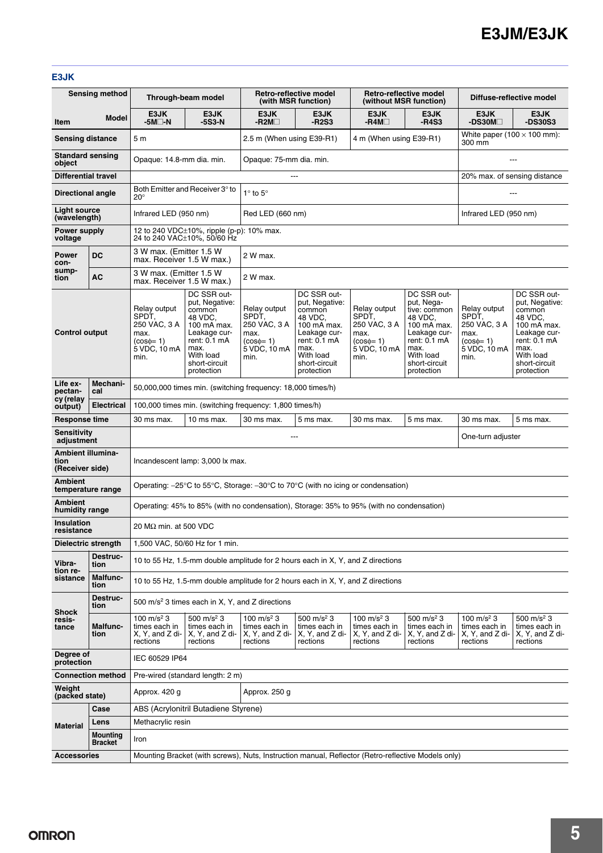#### **E3JK**

|                                              | <b>Sensing method</b>             |                                                                                                                            | Through-beam model                                                                                                                                    |                                                                                        | Retro-reflective model<br>(with MSR function)                                                                                                         |                                                                                        | Retro-reflective model<br>(without MSR function)                                                                                                        | Diffuse-reflective model                                                               |                                                                                                                                                       |  |
|----------------------------------------------|-----------------------------------|----------------------------------------------------------------------------------------------------------------------------|-------------------------------------------------------------------------------------------------------------------------------------------------------|----------------------------------------------------------------------------------------|-------------------------------------------------------------------------------------------------------------------------------------------------------|----------------------------------------------------------------------------------------|---------------------------------------------------------------------------------------------------------------------------------------------------------|----------------------------------------------------------------------------------------|-------------------------------------------------------------------------------------------------------------------------------------------------------|--|
| Item                                         | Model                             | E3JK<br>-5M□-N                                                                                                             | E3JK<br>-5S3-N                                                                                                                                        | E3JK<br>$-R2M\square$                                                                  | E3JK<br>$-R2S3$                                                                                                                                       | E3JK<br>-R4M□                                                                          | E3JK<br>-R4S3                                                                                                                                           | E3JK<br>-DS30M□                                                                        | E3JK<br><b>-DS30S3</b>                                                                                                                                |  |
| <b>Sensing distance</b>                      |                                   | 5 <sub>m</sub>                                                                                                             |                                                                                                                                                       | 2.5 m (When using E39-R1)                                                              |                                                                                                                                                       | 4 m (When using E39-R1)                                                                |                                                                                                                                                         | White paper (100 $\times$ 100 mm):<br>300 mm                                           |                                                                                                                                                       |  |
| <b>Standard sensing</b><br>object            |                                   | Opaque: 14.8-mm dia. min.<br>Opaque: 75-mm dia. min.                                                                       |                                                                                                                                                       |                                                                                        |                                                                                                                                                       |                                                                                        |                                                                                                                                                         | ---                                                                                    |                                                                                                                                                       |  |
| <b>Differential travel</b>                   |                                   |                                                                                                                            | 20% max. of sensing distance                                                                                                                          |                                                                                        |                                                                                                                                                       |                                                                                        |                                                                                                                                                         |                                                                                        |                                                                                                                                                       |  |
| <b>Directional angle</b>                     |                                   | $20^{\circ}$                                                                                                               | Both Emitter and Receiver 3° to<br>$1^\circ$ to $5^\circ$<br>---                                                                                      |                                                                                        |                                                                                                                                                       |                                                                                        |                                                                                                                                                         |                                                                                        |                                                                                                                                                       |  |
| Light source<br>(wavelength)                 |                                   | Infrared LED (950 nm)                                                                                                      |                                                                                                                                                       | Red LED (660 nm)                                                                       |                                                                                                                                                       |                                                                                        |                                                                                                                                                         |                                                                                        | Infrared LED (950 nm)                                                                                                                                 |  |
| Power supply<br>voltage                      |                                   |                                                                                                                            | 12 to 240 VDC $\pm$ 10%, ripple (p-p): 10% max.<br>24 to 240 VAC±10%, 50/60 Hz                                                                        |                                                                                        |                                                                                                                                                       |                                                                                        |                                                                                                                                                         |                                                                                        |                                                                                                                                                       |  |
| <b>Power</b><br>con-                         | <b>DC</b>                         | 3 W max. (Emitter 1.5 W<br>max. Receiver 1.5 W max.)                                                                       |                                                                                                                                                       | 2 W max.                                                                               |                                                                                                                                                       |                                                                                        |                                                                                                                                                         |                                                                                        |                                                                                                                                                       |  |
| sump-<br>tion                                | AC                                | 3 W max. (Emitter 1.5 W<br>max. Receiver 1.5 W max.)                                                                       |                                                                                                                                                       | 2 W max.                                                                               |                                                                                                                                                       |                                                                                        |                                                                                                                                                         |                                                                                        |                                                                                                                                                       |  |
| <b>Control output</b>                        |                                   | Relay output<br>SPDT,<br>250 VAC, 3 A<br>max.<br>$(cos\phi=1)$<br>5 VDC, 10 mA<br>min.                                     | DC SSR out-<br>put, Negative:<br>common<br>48 VDC,<br>100 mA max.<br>Leakage cur-<br>rent: 0.1 mA<br>max.<br>With load<br>short-circuit<br>protection | Relay output<br>SPDT,<br>250 VAC, 3 A<br>max.<br>$(cos\phi=1)$<br>5 VDC, 10 mA<br>min. | DC SSR out-<br>put, Negative:<br>common<br>48 VDC,<br>100 mA max.<br>Leakage cur-<br>rent: 0.1 mA<br>max.<br>With load<br>short-circuit<br>protection | Relay output<br>SPDT.<br>250 VAC. 3 A<br>max.<br>$(cos\phi=1)$<br>5 VDC, 10 mA<br>min. | DC SSR out-<br>put, Nega-<br>tive: common<br>48 VDC,<br>100 mA max.<br>Leakage cur-<br>rent: 0.1 mA<br>max.<br>With load<br>short-circuit<br>protection | Relay output<br>SPDT,<br>250 VAC, 3 A<br>max.<br>$(cos\phi=1)$<br>5 VDC, 10 mA<br>min. | DC SSR out-<br>put, Negative:<br>common<br>48 VDC.<br>100 mA max.<br>Leakage cur-<br>rent: 0.1 mA<br>max.<br>With load<br>short-circuit<br>protection |  |
| Life ex-<br>pectan-                          | Mechani-<br>cal                   |                                                                                                                            | 50,000,000 times min. (switching frequency: 18,000 times/h)                                                                                           |                                                                                        |                                                                                                                                                       |                                                                                        |                                                                                                                                                         |                                                                                        |                                                                                                                                                       |  |
| cy (relay<br>output)                         | <b>Electrical</b>                 |                                                                                                                            | 100,000 times min. (switching frequency: 1,800 times/h)                                                                                               |                                                                                        |                                                                                                                                                       |                                                                                        |                                                                                                                                                         |                                                                                        |                                                                                                                                                       |  |
| Response time                                |                                   | 30 ms max.                                                                                                                 | 10 ms max.                                                                                                                                            | 30 ms max.<br>5 ms max.<br>30 ms max.<br>5 ms max.<br>30 ms max.                       |                                                                                                                                                       |                                                                                        |                                                                                                                                                         | 5 ms max.                                                                              |                                                                                                                                                       |  |
| <b>Sensitivity</b><br>adjustment             |                                   |                                                                                                                            | ---                                                                                                                                                   |                                                                                        |                                                                                                                                                       |                                                                                        |                                                                                                                                                         |                                                                                        | One-turn adjuster                                                                                                                                     |  |
| Ambient illumina-<br>tion<br>(Receiver side) |                                   | Incandescent lamp: 3,000 lx max.                                                                                           |                                                                                                                                                       |                                                                                        |                                                                                                                                                       |                                                                                        |                                                                                                                                                         |                                                                                        |                                                                                                                                                       |  |
| <b>Ambient</b><br>temperature range          |                                   | Operating: $-25^{\circ}$ C to 55 $^{\circ}$ C, Storage: $-30^{\circ}$ C to 70 $^{\circ}$ C (with no icing or condensation) |                                                                                                                                                       |                                                                                        |                                                                                                                                                       |                                                                                        |                                                                                                                                                         |                                                                                        |                                                                                                                                                       |  |
| <b>Ambient</b><br>humidity range             |                                   | Operating: 45% to 85% (with no condensation), Storage: 35% to 95% (with no condensation)                                   |                                                                                                                                                       |                                                                                        |                                                                                                                                                       |                                                                                        |                                                                                                                                                         |                                                                                        |                                                                                                                                                       |  |
| Insulation<br>resistance                     |                                   | 20 M $\Omega$ min. at 500 VDC                                                                                              |                                                                                                                                                       |                                                                                        |                                                                                                                                                       |                                                                                        |                                                                                                                                                         |                                                                                        |                                                                                                                                                       |  |
| Dielectric strength                          |                                   |                                                                                                                            | 1,500 VAC, 50/60 Hz for 1 min.                                                                                                                        |                                                                                        |                                                                                                                                                       |                                                                                        |                                                                                                                                                         |                                                                                        |                                                                                                                                                       |  |
| Vibra-<br>tion re-                           | Destruc-<br>tion                  |                                                                                                                            | 10 to 55 Hz, 1.5-mm double amplitude for 2 hours each in X, Y, and Z directions                                                                       |                                                                                        |                                                                                                                                                       |                                                                                        |                                                                                                                                                         |                                                                                        |                                                                                                                                                       |  |
| sistance                                     | <b>Malfunc-</b><br>tion           |                                                                                                                            | 10 to 55 Hz, 1.5-mm double amplitude for 2 hours each in X, Y, and Z directions                                                                       |                                                                                        |                                                                                                                                                       |                                                                                        |                                                                                                                                                         |                                                                                        |                                                                                                                                                       |  |
| <b>Shock</b>                                 | Destruc-<br>tion                  | 500 m/s <sup>2</sup> 3 times each in X, Y, and Z directions                                                                |                                                                                                                                                       |                                                                                        |                                                                                                                                                       |                                                                                        |                                                                                                                                                         |                                                                                        |                                                                                                                                                       |  |
| resis-<br>tance                              | <b>Malfunc-</b><br>tion           | 100 m/s <sup>2</sup> 3<br>times each in<br>X, Y, and Z di-<br>rections                                                     | 500 m/s <sup>2</sup> 3<br>times each in<br>X, Y, and Z di-<br>rections                                                                                | 100 m/s <sup>2</sup> 3<br>times each in<br>X, Y, and Z di-<br>rections                 | 500 m/s <sup>2</sup> 3<br>times each in<br>X, Y, and Z di-<br>rections                                                                                | 100 m/s <sup>2</sup> 3<br>times each in<br>X, Y, and Z di-<br>rections                 | 500 m/s <sup>2</sup> 3<br>times each in<br>X, Y, and Z di-<br>rections                                                                                  | 100 m/s <sup>2</sup> 3<br>times each in<br>X, Y, and Z di-<br>rections                 | 500 m/s <sup>2</sup> 3<br>times each in<br>X, Y, and Z di-<br>rections                                                                                |  |
| Degree of<br>IEC 60529 IP64<br>protection    |                                   |                                                                                                                            |                                                                                                                                                       |                                                                                        |                                                                                                                                                       |                                                                                        |                                                                                                                                                         |                                                                                        |                                                                                                                                                       |  |
| <b>Connection method</b>                     |                                   |                                                                                                                            | Pre-wired (standard length: 2 m)                                                                                                                      |                                                                                        |                                                                                                                                                       |                                                                                        |                                                                                                                                                         |                                                                                        |                                                                                                                                                       |  |
| Weight<br>(packed state)                     |                                   | Approx. 420 g                                                                                                              |                                                                                                                                                       | Approx. 250 g                                                                          |                                                                                                                                                       |                                                                                        |                                                                                                                                                         |                                                                                        |                                                                                                                                                       |  |
|                                              | Case                              |                                                                                                                            | ABS (Acrylonitril Butadiene Styrene)                                                                                                                  |                                                                                        |                                                                                                                                                       |                                                                                        |                                                                                                                                                         |                                                                                        |                                                                                                                                                       |  |
| <b>Material</b>                              | Lens                              | Methacrylic resin                                                                                                          |                                                                                                                                                       |                                                                                        |                                                                                                                                                       |                                                                                        |                                                                                                                                                         |                                                                                        |                                                                                                                                                       |  |
|                                              | <b>Mounting</b><br><b>Bracket</b> | Iron                                                                                                                       |                                                                                                                                                       |                                                                                        |                                                                                                                                                       |                                                                                        |                                                                                                                                                         |                                                                                        |                                                                                                                                                       |  |
| <b>Accessories</b>                           |                                   |                                                                                                                            | Mounting Bracket (with screws), Nuts, Instruction manual, Reflector (Retro-reflective Models only)                                                    |                                                                                        |                                                                                                                                                       |                                                                                        |                                                                                                                                                         |                                                                                        |                                                                                                                                                       |  |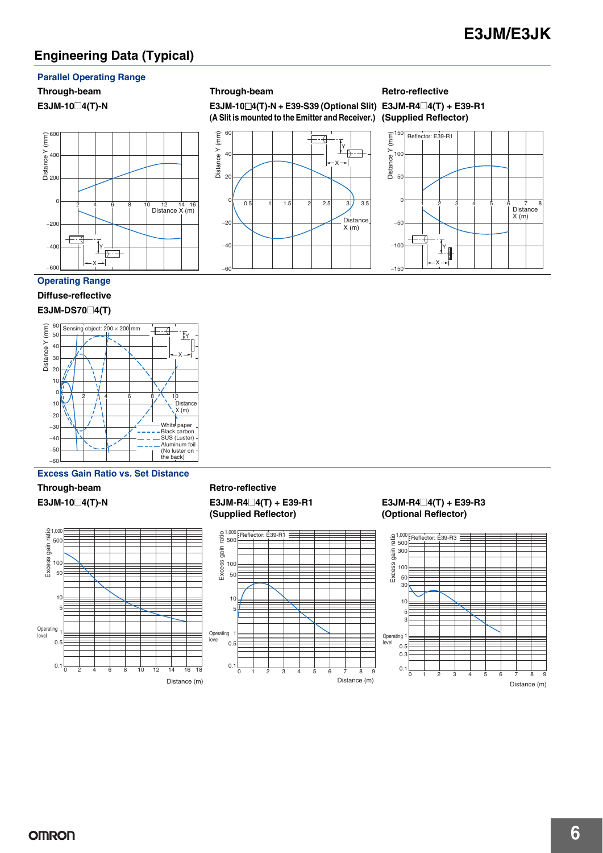## **Engineering Data (Typical)**

#### **Parallel Operating Range**



60 40

20

Distance Y (mm)

Distance Y (mm)

 $\Omega$ 

 $-20$ 

−40

−60

**E3JM-10**@**4(T)-N E3JM-10**@**4(T)-N + E39-S39 (Optional Slit) E3JM-R4**@**4(T) + E39-R1 (A Slit is mounted to the Emitter and Receiver.) (Supplied Reflector)**

0.5 1 1.5 2 2.5 3  $/$  3.5

Y X

₽

.<br>Distance  $X$  (m)

# **Through-beam Through-beam Retro-reflective**



#### **Operating Range**

### **Diffuse-reflective**

#### **E3JM-DS70**@**4(T)**



#### **Excess Gain Ratio vs. Set Distance**



#### Through-beam Retro-reflective **E3JM-10**@**4(T)-N E3JM-R4**@**4(T) + E39-R1 (Supplied Reflector)**



#### **E3JM-R4**@**4(T) + E39-R3 (Optional Reflector)**

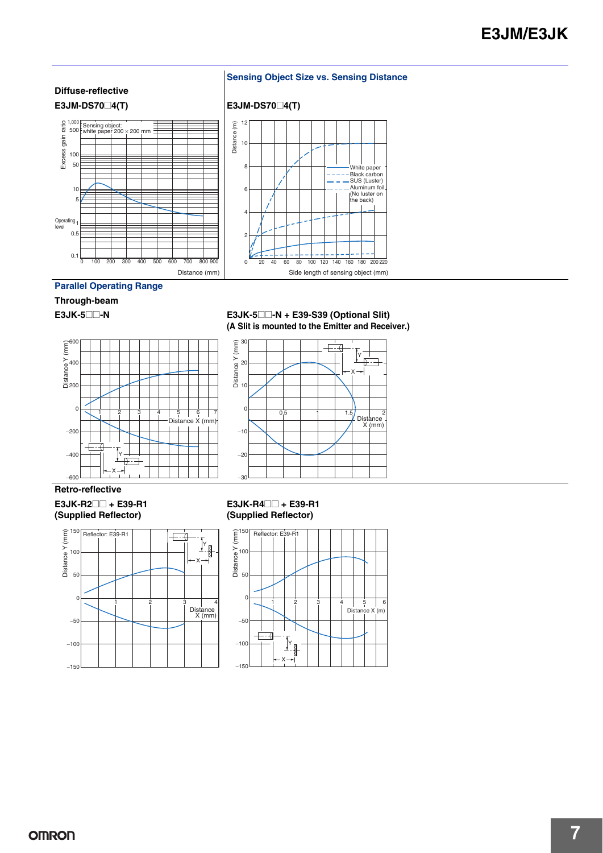

#### **Parallel Operating Range**

## **Through-beam**



#### **E3JK-5a** E3JK-5**a** E3JK-5**a** E3JK-5 **E3JK-5 (A Slit is mounted to the Emitter and Receiver.)**



#### **Retro-reflective**

**E3JK-R2**@@ **+ E39-R1 (Supplied Reflector)**



#### **E3JK-R4**@@ **+ E39-R1 (Supplied Reflector)**

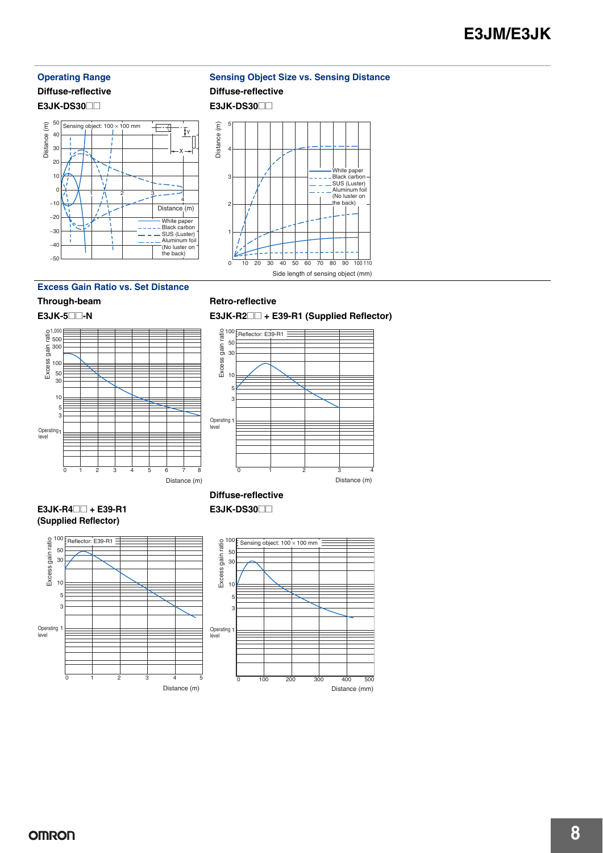# **Diffuse-reflective Diffuse-reflective**

**E3JK-DS30**@@ **E3JK-DS30**@@



#### **Operating Range Sensing Object Size vs. Sensing Distance**



#### **Excess Gain Ratio vs. Set Distance**



#### Through-beam Retro-reflective

**E3JK-DS30**@@

**E3JK-5**@@**-N E3JK-R2**@@ **+ E39-R1 (Supplied Reflector)** 100



#### **E3JK-R4**@@ **+ E39-R1 (Supplied Reflector)**





Distance (mm)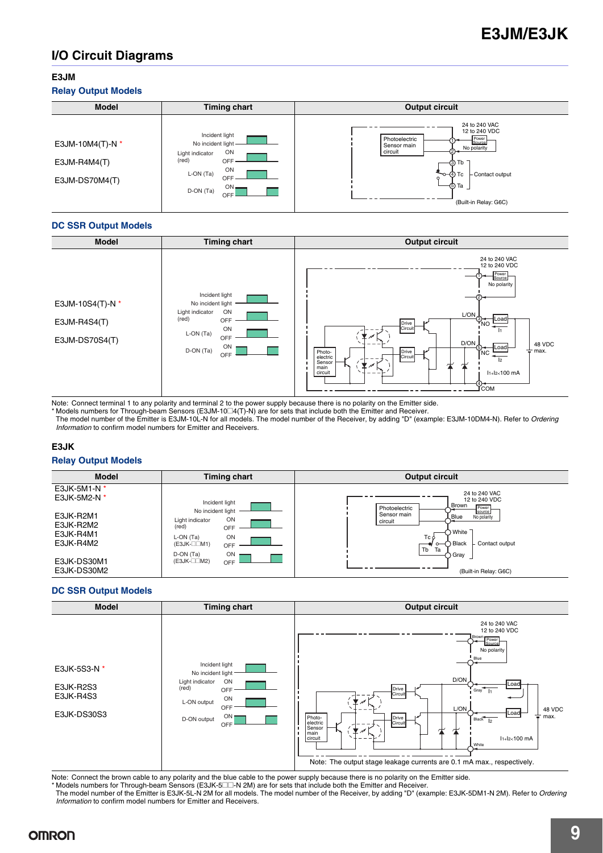## **I/O Circuit Diagrams**

#### **E3JM**

#### **Relay Output Models**

| <b>Model</b>                                           | <b>Timing chart</b>                                                                                                                    | <b>Output circuit</b>                                                                                                                                                                              |
|--------------------------------------------------------|----------------------------------------------------------------------------------------------------------------------------------------|----------------------------------------------------------------------------------------------------------------------------------------------------------------------------------------------------|
| E3JM-10M4(T)-N $*$<br>$E3JM-RAM4(T)$<br>E3JM-DS70M4(T) | Incident light<br>No incident light -<br>ON<br>Light indicator<br>(red)<br>OFF<br>ON<br>L-ON (Ta)<br>OFF<br>$ON -$<br>D-ON (Ta)<br>OFF | 24 to 240 VAC<br>12 to 240 VDC<br>Photoelectric<br>Power<br>Source<br>Sensor main<br>No polarity<br>circuit<br>−③ Tb<br>'ত–4ি) Tc<br>Contact output<br>$\circ$<br>-(5) Та<br>(Built-in Relay: G6C) |

#### **DC SSR Output Models**

| <b>Model</b>                                         | <b>Timing chart</b>                                                                                                              | <b>Output circuit</b>                                                                                                                                                                                                                                                                                                                                                                    |
|------------------------------------------------------|----------------------------------------------------------------------------------------------------------------------------------|------------------------------------------------------------------------------------------------------------------------------------------------------------------------------------------------------------------------------------------------------------------------------------------------------------------------------------------------------------------------------------------|
| E3JM-10S4(T)-N $*$<br>E3JM-R4S4(T)<br>E3JM-DS70S4(T) | Incident light<br>No incident light<br>ON<br>Light indicator<br>(red)<br>OFF<br>ON<br>L-ON (Ta)<br>OFF<br>ON<br>D-ON (Ta)<br>OFF | 24 to 240 VAC<br>12 to 240 VDC<br>Power<br>Source<br>No polarity<br>L/ON<br>$\overline{\mathcal{P}_{NO}}$<br>∤Load<br>Drive<br>Circuit<br>$\overline{\mathscr{N}}$<br>D/ON<br>48 VDC<br><b>ILoad</b><br>$\sqrt[6]{\mathsf{NC}}$<br>$\equiv$ max.<br>Drive<br>Photo-<br>electric<br>Circuit<br> 2 <br>Sensor<br>main<br>circuit<br>I <sub>1+</sub> I <sub>2</sub> <100 mA<br>(4)⊸<br>Ґсом |

Note: Connect terminal 1 to any polarity and terminal 2 to the power supply because there is no polarity on the Emitter side.

\* Models numbers for Through-beam Sensors (E3JM-10⊡4(T)-N) are for sets that include both the Emitter and Receiver.<br>The model number of the Emitter is E3JM-10L-N for all models. The model number of the Receiver, by adding *Information* to confirm model numbers for Emitter and Receivers.

#### **E3JK**

#### **Relay Output Models**



#### **DC SSR Output Models**

| <b>Model</b>                                          | <b>Timing chart</b>                                                                                                                         | <b>Output circuit</b>                                                                                                                                                                                                                                                                                                                                                                                            |
|-------------------------------------------------------|---------------------------------------------------------------------------------------------------------------------------------------------|------------------------------------------------------------------------------------------------------------------------------------------------------------------------------------------------------------------------------------------------------------------------------------------------------------------------------------------------------------------------------------------------------------------|
| E3JK-5S3-N *<br>E3JK-R2S3<br>E3JK-R4S3<br>E3JK-DS30S3 | Incident light<br>No incident light<br>Light indicator<br>ON<br>(red)<br>OFF<br>ON<br>L-ON output<br><b>OFF</b><br>ON<br>D-ON output<br>OFF | 24 to 240 VAC<br>12 to 240 VDC<br>Brown<br>Power<br>Pource<br>No polarity<br>Blue<br>D/ON<br>Loao<br>Drive<br>Gray $11$<br>Circuit<br>L/ON<br>48 VDC<br>∤Load∤<br>÷<br>max.<br>Drive<br>Photo-<br>$Blace$ <sup><math>\frac{1}{2}</math></sup><br>electric<br>Circuit<br>Sensor<br>生<br>∕<br>main<br>circuit<br>$11+12<100$ mA<br>White<br>Note: The output stage leakage currents are 0.1 mA max., respectively. |

Note: Connect the brown cable to any polarity and the blue cable to the power supply because there is no polarity on the Emitter side. \* Models numbers for Through-beam Sensors (E3JK-5@@-N 2M) are for sets that include both the Emitter and Receiver.

The model number of the Emitter is E3JK-5L-N 2M for all models. The model number of the Receiver, by adding "D" (example: E3JK-5DM1-N 2M). Refer to *Ordering Information* to confirm model numbers for Emitter and Receivers.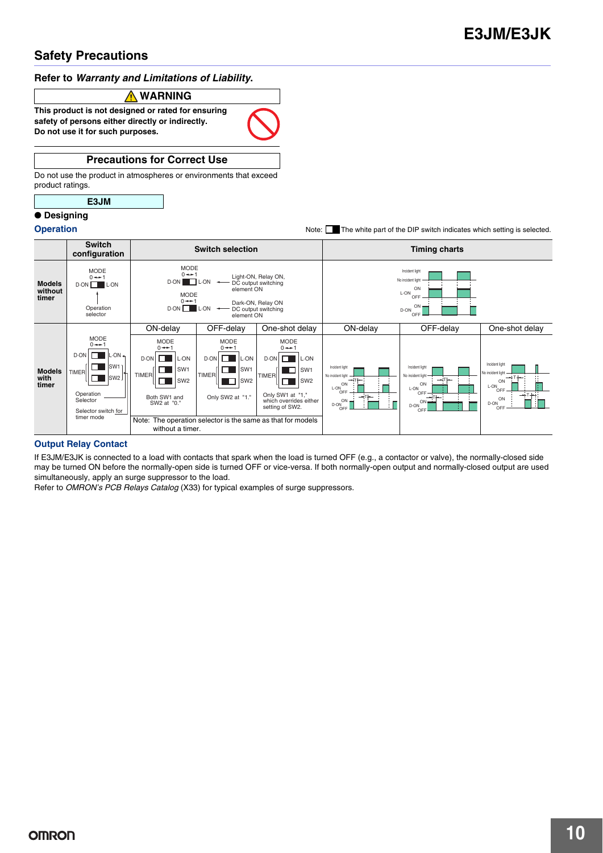#### **Refer to** *Warranty and Limitations of Liability***.**

#### **WARNING**

**This product is not designed or rated for ensuring safety of persons either directly or indirectly. Do not use it for such purposes.**

#### **Precautions for Correct Use**

Do not use the product in atmospheres or environments that exceed product ratings.

#### **E3JM**

#### ● **Designing**

**Operation** Note: The white part of the DIP switch indicates which setting is selected.



#### **Output Relay Contact**

If E3JM/E3JK is connected to a load with contacts that spark when the load is turned OFF (e.g., a contactor or valve), the normally-closed side may be turned ON before the normally-open side is turned OFF or vice-versa. If both normally-open output and normally-closed output are used simultaneously, apply an surge suppressor to the load.

Refer to *OMRON's PCB Relays Catalog* (X33) for typical examples of surge suppressors.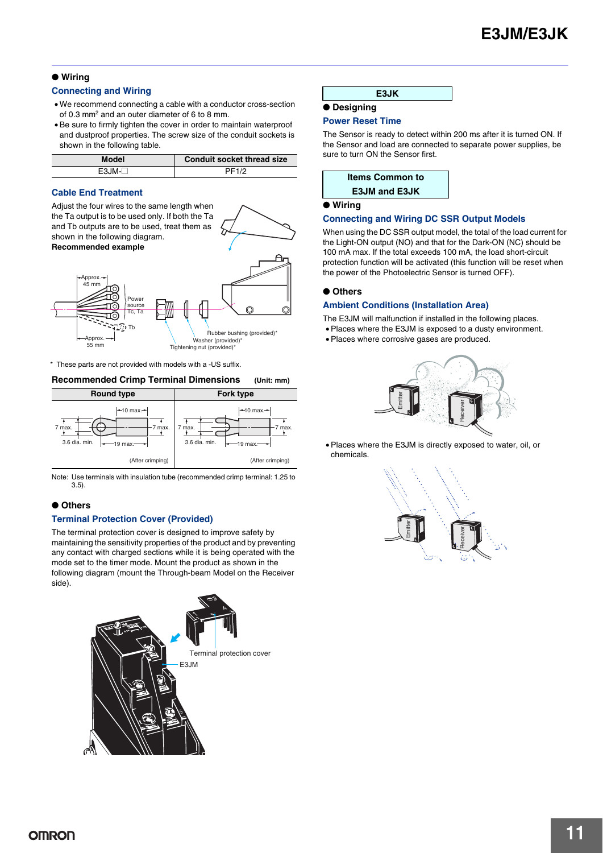#### ● **Wiring**

#### **Connecting and Wiring**

- We recommend connecting a cable with a conductor cross-section of 0.3 mm2 and an outer diameter of 6 to 8 mm.
- Be sure to firmly tighten the cover in order to maintain waterproof and dustproof properties. The screw size of the conduit sockets is shown in the following table.

| <b>Model</b> | <b>Conduit socket thread size</b> |
|--------------|-----------------------------------|
| $F3.IM-T$    | PF1/2                             |

#### **Cable End Treatment**

Adjust the four wires to the same length when the Ta output is to be used only. If both the Ta and Tb outputs are to be used, treat them as shown in the following diagram. **Recommended example**



\* These parts are not provided with models with a -US suffix.

#### **Recommended Crimp Terminal Dimensions (Unit: mm)**



Note: Use terminals with insulation tube (recommended crimp terminal: 1.25 to 3.5).

#### ● **Others**

#### **Terminal Protection Cover (Provided)**

The terminal protection cover is designed to improve safety by maintaining the sensitivity properties of the product and by preventing any contact with charged sections while it is being operated with the mode set to the timer mode. Mount the product as shown in the following diagram (mount the Through-beam Model on the Receiver side).



| E3JK |
|------|
|------|

#### ● **Designing**

#### **Power Reset Time**

The Sensor is ready to detect within 200 ms after it is turned ON. If the Sensor and load are connected to separate power supplies, be sure to turn ON the Sensor first.

| <b>Items Common to</b> |  |
|------------------------|--|
| <b>E3JM and E3JK</b>   |  |

#### ● **Wiring**

#### **Connecting and Wiring DC SSR Output Models**

When using the DC SSR output model, the total of the load current for the Light-ON output (NO) and that for the Dark-ON (NC) should be 100 mA max. If the total exceeds 100 mA, the load short-circuit protection function will be activated (this function will be reset when the power of the Photoelectric Sensor is turned OFF).

#### ● **Others**

#### **Ambient Conditions (Installation Area)**

The E3JM will malfunction if installed in the following places.

- Places where the E3JM is exposed to a dusty environment.
- Places where corrosive gases are produced.



• Places where the E3JM is directly exposed to water, oil, or chemicals.

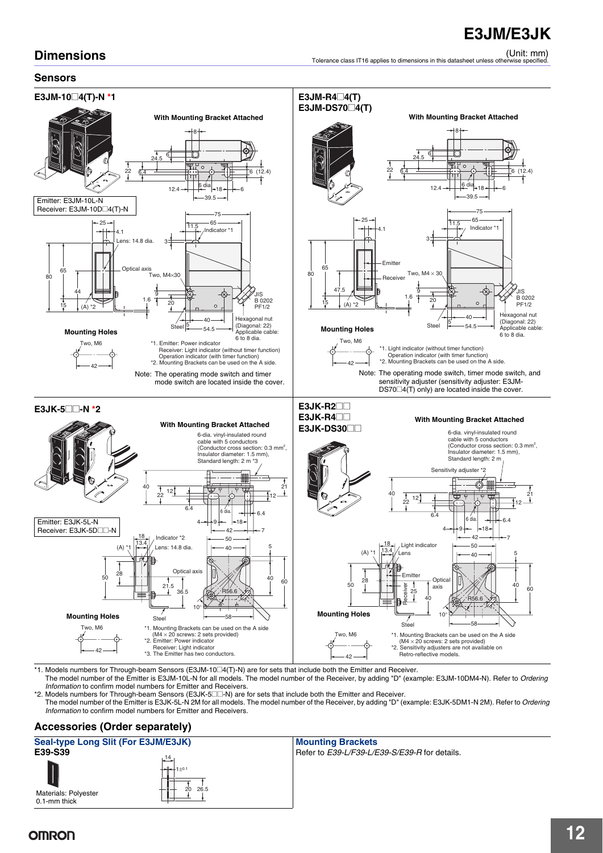## **Dimensions**

#### **Sensors**



\*1. Models numbers for Through-beam Sensors (E3JM-10@4(T)-N) are for sets that include both the Emitter and Receiver.

The model number of the Emitter is E3JM-10L-N for all models. The model number of the Receiver, by adding "D" (example: E3JM-10DM4-N). Refer to *Ordering Information* to confirm model numbers for Emitter and Receivers.

42

\*2. Models numbers for Through-beam Sensors (E3JK-5 $\square$ -N) are for sets that include both the Emitter and Receiver.

The model number of the Emitter is E3JK-5L-N 2M for all models. The model number of the Receiver, by adding "D" (example: E3JK-5DM1-N 2M). Refer to *Ordering Information* to confirm model numbers for Emitter and Receivers.

#### **Accessories (Order separately)**

#### **Seal-type Long Slit (For E3JM/E3JK)** Mounting Brackets<br> **E39-S39** Refer to E39-L/F39-L/E **E39-S39** Refer to *E39-L/F39-L/E39-S/E39-R* for details. Materials: Polyester 0.1-mm thick 14 20 26.5  $+n$

## **OMRON**

(Unit: mm) Tolerance class IT16 applies to dimensions in this datasheet unless otherwise specified.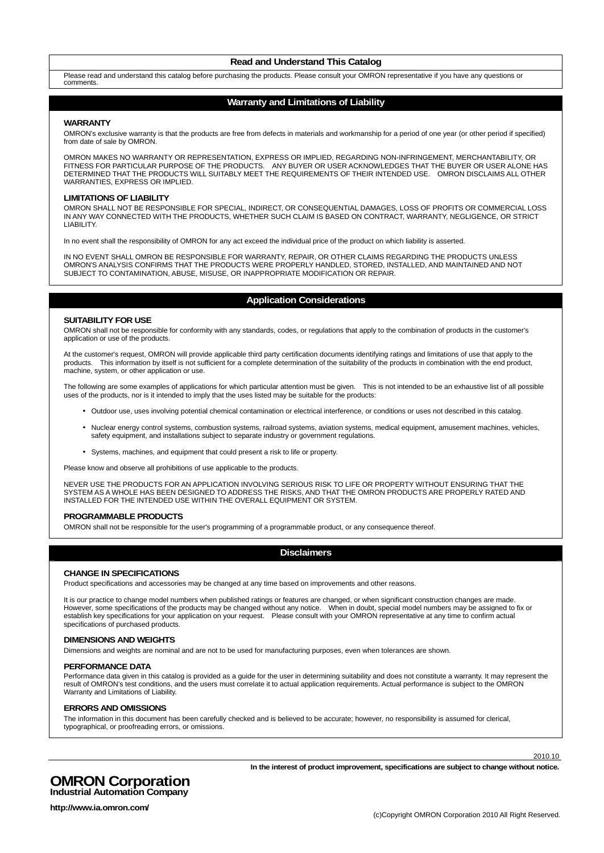#### **Read and Understand This Catalog**

Please read and understand this catalog before purchasing the products. Please consult your OMRON representative if you have any questions or comments.

#### **Warranty and Limitations of Liability**

#### **WARRANTY**

OMRON's exclusive warranty is that the products are free from defects in materials and workmanship for a period of one year (or other period if specified) from date of sale by OMRON.

OMRON MAKES NO WARRANTY OR REPRESENTATION, EXPRESS OR IMPLIED, REGARDING NON-INFRINGEMENT, MERCHANTABILITY, OR FITNESS FOR PARTICULAR PURPOSE OF THE PRODUCTS. ANY BUYER OR USER ACKNOWLEDGES THAT THE BUYER OR USER ALONE HAS DETERMINED THAT THE PRODUCTS WILL SUITABLY MEET THE REQUIREMENTS OF THEIR INTENDED USE. OMRON DISCLAIMS ALL OTHER WARRANTIES, EXPRESS OR IMPLIED.

#### **LIMITATIONS OF LIABILITY**

OMRON SHALL NOT BE RESPONSIBLE FOR SPECIAL, INDIRECT, OR CONSEQUENTIAL DAMAGES, LOSS OF PROFITS OR COMMERCIAL LOSS IN ANY WAY CONNECTED WITH THE PRODUCTS, WHETHER SUCH CLAIM IS BASED ON CONTRACT, WARRANTY, NEGLIGENCE, OR STRICT LIABILITY.

In no event shall the responsibility of OMRON for any act exceed the individual price of the product on which liability is asserted.

IN NO EVENT SHALL OMRON BE RESPONSIBLE FOR WARRANTY, REPAIR, OR OTHER CLAIMS REGARDING THE PRODUCTS UNLESS OMRON'S ANALYSIS CONFIRMS THAT THE PRODUCTS WERE PROPERLY HANDLED, STORED, INSTALLED, AND MAINTAINED AND NOT SUBJECT TO CONTAMINATION, ABUSE, MISUSE, OR INAPPROPRIATE MODIFICATION OR REPAIR.

#### **Application Considerations**

#### **SUITABILITY FOR USE**

OMRON shall not be responsible for conformity with any standards, codes, or regulations that apply to the combination of products in the customer's application or use of the products.

At the customer's request, OMRON will provide applicable third party certification documents identifying ratings and limitations of use that apply to the products. This information by itself is not sufficient for a complete determination of the suitability of the products in combination with the end product, machine, system, or other application or use.

The following are some examples of applications for which particular attention must be given. This is not intended to be an exhaustive list of all possible uses of the products, nor is it intended to imply that the uses listed may be suitable for the products:

- Outdoor use, uses involving potential chemical contamination or electrical interference, or conditions or uses not described in this catalog.
- Nuclear energy control systems, combustion systems, railroad systems, aviation systems, medical equipment, amusement machines, vehicles, safety equipment, and installations subject to separate industry or government regulations.
- Systems, machines, and equipment that could present a risk to life or property.

Please know and observe all prohibitions of use applicable to the products.

NEVER USE THE PRODUCTS FOR AN APPLICATION INVOLVING SERIOUS RISK TO LIFE OR PROPERTY WITHOUT ENSURING THAT THE SYSTEM AS A WHOLE HAS BEEN DESIGNED TO ADDRESS THE RISKS, AND THAT THE OMRON PRODUCTS ARE PROPERLY RATED AND INSTALLED FOR THE INTENDED USE WITHIN THE OVERALL EQUIPMENT OR SYSTEM.

#### **PROGRAMMABLE PRODUCTS**

OMRON shall not be responsible for the user's programming of a programmable product, or any consequence thereof.

#### **Disclaimers**

#### **CHANGE IN SPECIFICATIONS**

Product specifications and accessories may be changed at any time based on improvements and other reasons.

It is our practice to change model numbers when published ratings or features are changed, or when significant construction changes are made. However, some specifications of the products may be changed without any notice. When in doubt, special model numbers may be assigned to fix or establish key specifications for your application on your request. Please consult with your OMRON representative at any time to confirm actual specifications of purchased products.

#### **DIMENSIONS AND WEIGHTS**

Dimensions and weights are nominal and are not to be used for manufacturing purposes, even when tolerances are shown.

#### **PERFORMANCE DATA**

Performance data given in this catalog is provided as a guide for the user in determining suitability and does not constitute a warranty. It may represent the result of OMRON's test conditions, and the users must correlate it to actual application requirements. Actual performance is subject to the OMRON Warranty and Limitations of Liability.

#### **ERRORS AND OMISSIONS**

The information in this document has been carefully checked and is believed to be accurate; however, no responsibility is assumed for clerical, typographical, or proofreading errors, or omissions.

2010.10

#### **OMRON Corporation Industrial Automation Company**

**In the interest of product improvement, specifications are subject to change without notice.**

**http://www.ia.omron.com/**